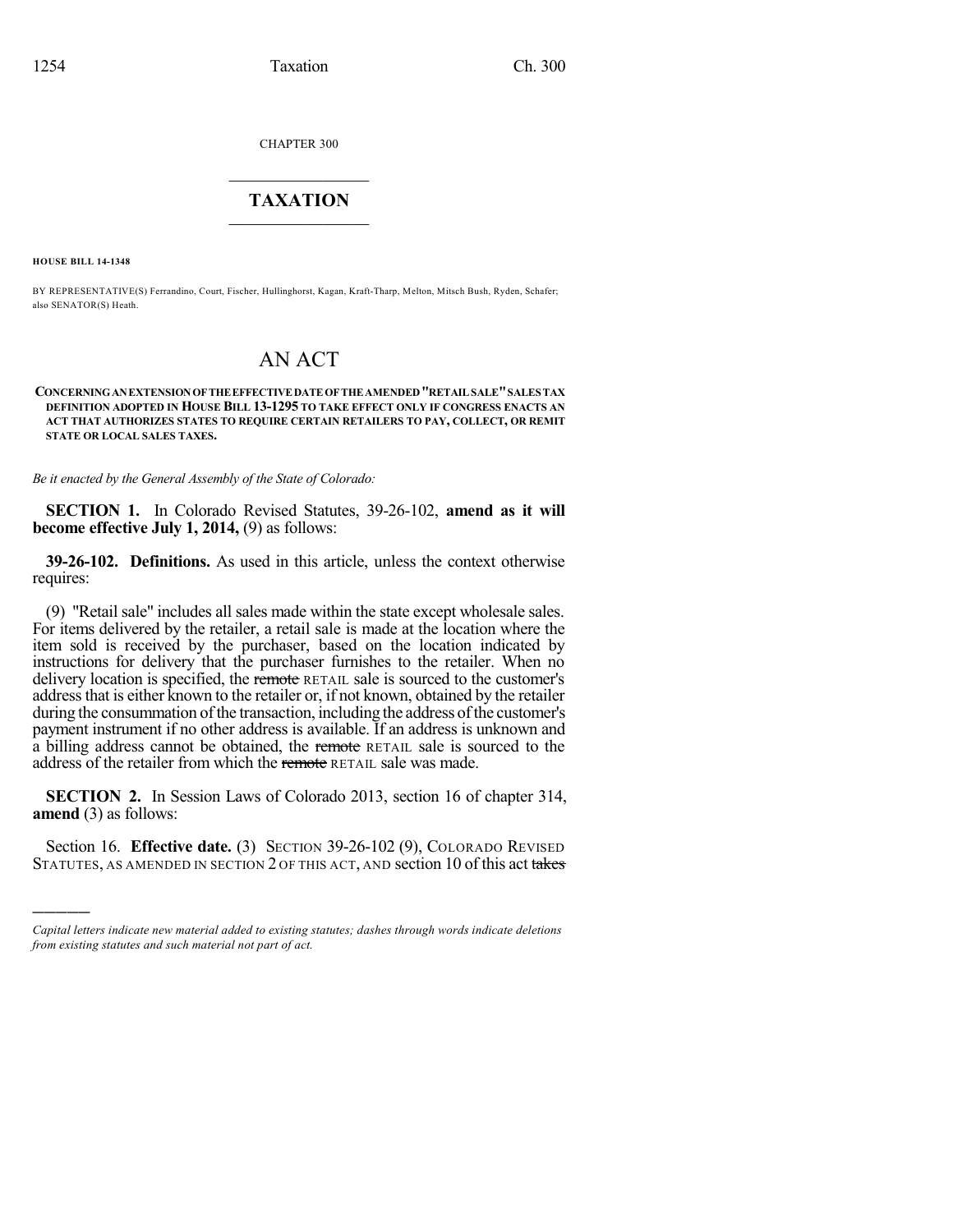CHAPTER 300

## $\mathcal{L}_\text{max}$  . The set of the set of the set of the set of the set of the set of the set of the set of the set of the set of the set of the set of the set of the set of the set of the set of the set of the set of the set **TAXATION**  $\_$

**HOUSE BILL 14-1348**

)))))

BY REPRESENTATIVE(S) Ferrandino, Court, Fischer, Hullinghorst, Kagan, Kraft-Tharp, Melton, Mitsch Bush, Ryden, Schafer; also SENATOR(S) Heath.

## AN ACT

**CONCERNINGANEXTENSIONOFTHEEFFECTIVEDATEOFTHEAMENDED"RETAILSALE"SALES TAX DEFINITION ADOPTED IN HOUSE BILL 13-1295 TO TAKE EFFECT ONLY IF CONGRESS ENACTS AN ACT THAT AUTHORIZES STATES TO REQUIRE CERTAIN RETAILERS TO PAY, COLLECT, OR REMIT STATE OR LOCAL SALES TAXES.**

*Be it enacted by the General Assembly of the State of Colorado:*

**SECTION 1.** In Colorado Revised Statutes, 39-26-102, **amend as it will become effective July 1, 2014,** (9) as follows:

**39-26-102. Definitions.** As used in this article, unless the context otherwise requires:

(9) "Retail sale" includes all sales made within the state except wholesale sales. For items delivered by the retailer, a retail sale is made at the location where the item sold is received by the purchaser, based on the location indicated by instructions for delivery that the purchaser furnishes to the retailer. When no delivery location is specified, the remote RETAIL sale is sourced to the customer's address that is either known to the retailer or, if not known, obtained by the retailer during the consummation of the transaction, including the address of the customer's payment instrument if no other address is available. If an address is unknown and a billing address cannot be obtained, the remote RETAIL sale is sourced to the address of the retailer from which the remote RETAIL sale was made.

**SECTION 2.** In Session Laws of Colorado 2013, section 16 of chapter 314, **amend** (3) as follows:

Section 16. **Effective date.** (3) SECTION 39-26-102 (9), COLORADO REVISED STATUTES, AS AMENDED IN SECTION 2 OF THIS ACT, AND section 10 of this act takes

*Capital letters indicate new material added to existing statutes; dashes through words indicate deletions from existing statutes and such material not part of act.*